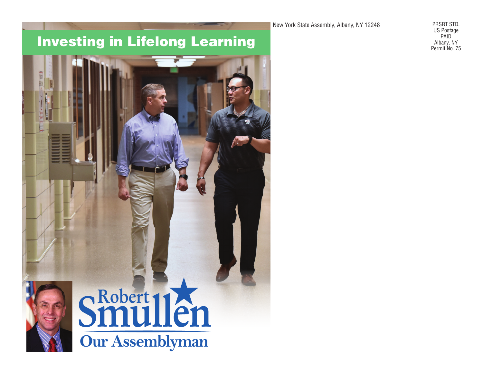New York State Assembly, Albany, NY 12248

Investing in Lifelong Learning



PRSRT STD. US Postage PAID Albany, NY Permit No. 75